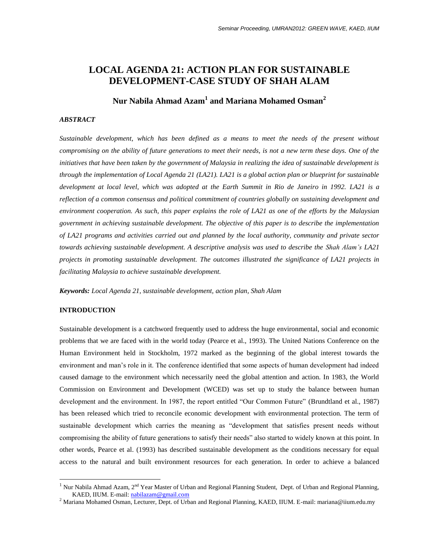# **LOCAL AGENDA 21: ACTION PLAN FOR SUSTAINABLE DEVELOPMENT-CASE STUDY OF SHAH ALAM**

# **Nur Nabila Ahmad Azam<sup>1</sup> and Mariana Mohamed Osman<sup>2</sup>**

## *ABSTRACT*

*Sustainable development, which has been defined as a means to meet the needs of the present without compromising on the ability of future generations to meet their needs, is not a new term these days. One of the initiatives that have been taken by the government of Malaysia in realizing the idea of sustainable development is through the implementation of Local Agenda 21 (LA21). LA21 is a global action plan or blueprint for sustainable development at local level, which was adopted at the Earth Summit in Rio de Janeiro in 1992. LA21 is a reflection of a common consensus and political commitment of countries globally on sustaining development and environment cooperation. As such, this paper explains the role of LA21 as one of the efforts by the Malaysian government in achieving sustainable development. The objective of this paper is to describe the implementation of LA21 programs and activities carried out and planned by the local authority, community and private sector towards achieving sustainable development. A descriptive analysis was used to describe the Shah Alam's LA21 projects in promoting sustainable development. The outcomes illustrated the significance of LA21 projects in facilitating Malaysia to achieve sustainable development.*

*Keywords: Local Agenda 21, sustainable development, action plan, Shah Alam*

## **INTRODUCTION**

 $\overline{a}$ 

Sustainable development is a catchword frequently used to address the huge environmental, social and economic problems that we are faced with in the world today (Pearce et al., 1993). The United Nations Conference on the Human Environment held in Stockholm, 1972 marked as the beginning of the global interest towards the environment and man"s role in it. The conference identified that some aspects of human development had indeed caused damage to the environment which necessarily need the global attention and action. In 1983, the World Commission on Environment and Development (WCED) was set up to study the balance between human development and the environment. In 1987, the report entitled "Our Common Future" (Brundtland et al., 1987) has been released which tried to reconcile economic development with environmental protection. The term of sustainable development which carries the meaning as "development that satisfies present needs without compromising the ability of future generations to satisfy their needs" also started to widely known at this point. In other words, Pearce et al. (1993) has described sustainable development as the conditions necessary for equal access to the natural and built environment resources for each generation. In order to achieve a balanced

Nur Nabila Ahmad Azam, 2<sup>nd</sup> Year Master of Urban and Regional Planning Student, Dept. of Urban and Regional Planning, KAED, IIUM. E-mail[: nabilazam@gmail.com](mailto:nabilazam@gmail.com)

<sup>2</sup> Mariana Mohamed Osman, Lecturer, Dept. of Urban and Regional Planning, KAED, IIUM. E-mail: mariana@iium.edu.my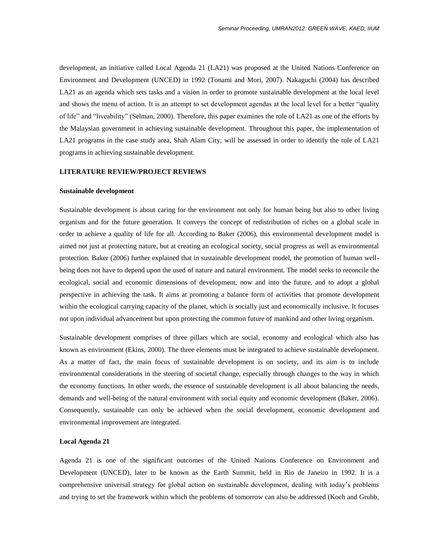development, an initiative called Local Agenda 21 (LA21) was proposed at the United Nations Conference on Environment and Development (UNCED) in 1992 (Tonami and Mori, 2007). Nakaguchi (2004) has described LA21 as an agenda which sets tasks and a vision in order to promote sustainable development at the local level and shows the menu of action. It is an attempt to set development agendas at the local level for a better "quality of life" and "liveability" (Selman, 2000). Therefore, this paper examines the role of LA21 as one of the efforts by the Malaysian government in achieving sustainable development. Throughout this paper, the implementation of LA21 programs in the case study area, Shah Alam City, will be assessed in order to identify the role of LA21 programs in achieving sustainable development.

## **LITERATURE REVIEW/PROJECT REVIEWS**

#### **Sustainable development**

Sustainable development is about caring for the environment not only for human being but also to other living organism and for the future generation. It conveys the concept of redistribution of riches on a global scale in order to achieve a quality of life for all. According to Baker (2006), this environmental development model is aimed not just at protecting nature, but at creating an ecological society, social progress as well as environmental protection. Baker (2006) further explained that in sustainable development model, the promotion of human wellbeing does not have to depend upon the used of nature and natural environment. The model seeks to reconcile the ecological, social and economic dimensions of development, now and into the future, and to adopt a global perspective in achieving the task. It aims at promoting a balance form of activities that promote development within the ecological carrying capacity of the planet, which is socially just and economically inclusive. It focuses not upon individual advancement but upon protecting the common future of mankind and other living organism.

Sustainable development comprises of three pillars which are social, economy and ecological which also has known as environment (Ekins, 2000). The three elements must be integrated to achieve sustainable development. As a matter of fact, the main focus of sustainable development is on society, and its aim is to include environmental considerations in the steering of societal change, especially through changes to the way in which the economy functions. In other words, the essence of sustainable development is all about balancing the needs, demands and well-being of the natural environment with social equity and economic development (Baker, 2006). Consequently, sustainable can only be achieved when the social development, economic development and environmental improvement are integrated.

#### **Local Agenda 21**

Agenda 21 is one of the significant outcomes of the United Nations Conference on Environment and Development (UNCED), later to be known as the Earth Summit, held in Rio de Janeiro in 1992. It is a comprehensive universal strategy for global action on sustainable development, dealing with today"s problems and trying to set the framework within which the problems of tomorrow can also be addressed (Koch and Grubb,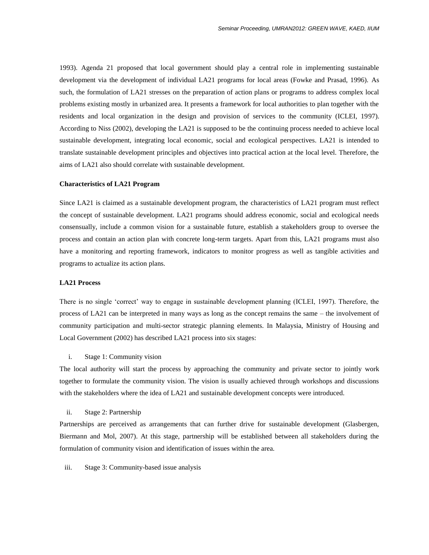1993). Agenda 21 proposed that local government should play a central role in implementing sustainable development via the development of individual LA21 programs for local areas (Fowke and Prasad, 1996). As such, the formulation of LA21 stresses on the preparation of action plans or programs to address complex local problems existing mostly in urbanized area. It presents a framework for local authorities to plan together with the residents and local organization in the design and provision of services to the community (ICLEI, 1997). According to Niss (2002), developing the LA21 is supposed to be the continuing process needed to achieve local sustainable development, integrating local economic, social and ecological perspectives. LA21 is intended to translate sustainable development principles and objectives into practical action at the local level. Therefore, the aims of LA21 also should correlate with sustainable development.

#### **Characteristics of LA21 Program**

Since LA21 is claimed as a sustainable development program, the characteristics of LA21 program must reflect the concept of sustainable development. LA21 programs should address economic, social and ecological needs consensually, include a common vision for a sustainable future, establish a stakeholders group to oversee the process and contain an action plan with concrete long-term targets. Apart from this, LA21 programs must also have a monitoring and reporting framework, indicators to monitor progress as well as tangible activities and programs to actualize its action plans.

#### **LA21 Process**

There is no single "correct" way to engage in sustainable development planning (ICLEI, 1997). Therefore, the process of LA21 can be interpreted in many ways as long as the concept remains the same – the involvement of community participation and multi-sector strategic planning elements. In Malaysia, Ministry of Housing and Local Government (2002) has described LA21 process into six stages:

#### i. Stage 1: Community vision

The local authority will start the process by approaching the community and private sector to jointly work together to formulate the community vision. The vision is usually achieved through workshops and discussions with the stakeholders where the idea of LA21 and sustainable development concepts were introduced.

#### ii. Stage 2: Partnership

Partnerships are perceived as arrangements that can further drive for sustainable development (Glasbergen, Biermann and Mol, 2007). At this stage, partnership will be established between all stakeholders during the formulation of community vision and identification of issues within the area.

#### iii. Stage 3: Community-based issue analysis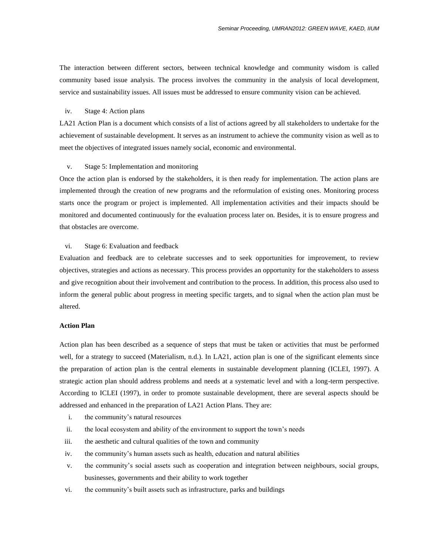The interaction between different sectors, between technical knowledge and community wisdom is called community based issue analysis. The process involves the community in the analysis of local development, service and sustainability issues. All issues must be addressed to ensure community vision can be achieved.

#### iv. Stage 4: Action plans

LA21 Action Plan is a document which consists of a list of actions agreed by all stakeholders to undertake for the achievement of sustainable development. It serves as an instrument to achieve the community vision as well as to meet the objectives of integrated issues namely social, economic and environmental.

## v. Stage 5: Implementation and monitoring

Once the action plan is endorsed by the stakeholders, it is then ready for implementation. The action plans are implemented through the creation of new programs and the reformulation of existing ones. Monitoring process starts once the program or project is implemented. All implementation activities and their impacts should be monitored and documented continuously for the evaluation process later on. Besides, it is to ensure progress and that obstacles are overcome.

### vi. Stage 6: Evaluation and feedback

Evaluation and feedback are to celebrate successes and to seek opportunities for improvement, to review objectives, strategies and actions as necessary. This process provides an opportunity for the stakeholders to assess and give recognition about their involvement and contribution to the process. In addition, this process also used to inform the general public about progress in meeting specific targets, and to signal when the action plan must be altered.

## **Action Plan**

Action plan has been described as a sequence of steps that must be taken or activities that must be performed well, for a strategy to succeed (Materialism, n.d.). In LA21, action plan is one of the significant elements since the preparation of action plan is the central elements in sustainable development planning (ICLEI, 1997). A strategic action plan should address problems and needs at a systematic level and with a long-term perspective. According to ICLEI (1997), in order to promote sustainable development, there are several aspects should be addressed and enhanced in the preparation of LA21 Action Plans. They are:

- i. the community"s natural resources
- ii. the local ecosystem and ability of the environment to support the town"s needs
- iii. the aesthetic and cultural qualities of the town and community
- iv. the community"s human assets such as health, education and natural abilities
- v. the community"s social assets such as cooperation and integration between neighbours, social groups, businesses, governments and their ability to work together
- vi. the community"s built assets such as infrastructure, parks and buildings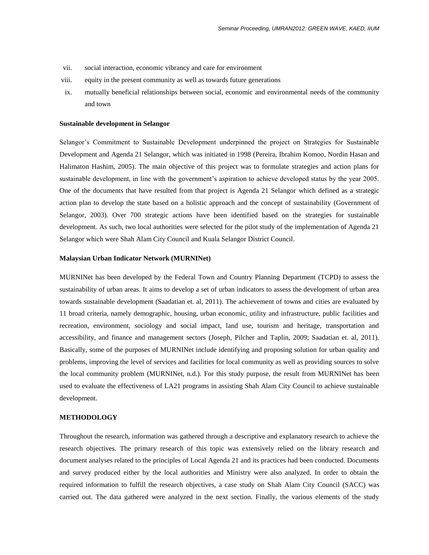- vii. social interaction, economic vibrancy and care for environment
- viii. equity in the present community as well as towards future generations
- ix. mutually beneficial relationships between social, economic and environmental needs of the community and town

#### **Sustainable development in Selangor**

Selangor's Commitment to Sustainable Development underpinned the project on Strategies for Sustainable Development and Agenda 21 Selangor, which was initiated in 1998 (Pereira, Ibrahim Komoo, Nordin Hasan and Halimaton Hashim, 2005). The main objective of this project was to formulate strategies and action plans for sustainable development, in line with the government"s aspiration to achieve developed status by the year 2005. One of the documents that have resulted from that project is Agenda 21 Selangor which defined as a strategic action plan to develop the state based on a holistic approach and the concept of sustainability (Government of Selangor, 2003). Over 700 strategic actions have been identified based on the strategies for sustainable development. As such, two local authorities were selected for the pilot study of the implementation of Agenda 21 Selangor which were Shah Alam City Council and Kuala Selangor District Council.

#### **Malaysian Urban Indicator Network (MURNINet)**

MURNINet has been developed by the Federal Town and Country Planning Department (TCPD) to assess the sustainability of urban areas. It aims to develop a set of urban indicators to assess the development of urban area towards sustainable development (Saadatian et. al, 2011). The achievement of towns and cities are evaluated by 11 broad criteria, namely demographic, housing, urban economic, utility and infrastructure, public facilities and recreation, environment, sociology and social impact, land use, tourism and heritage, transportation and accessibility, and finance and management sectors (Joseph, Pilcher and Taplin, 2009; Saadatian et. al, 2011). Basically, some of the purposes of MURNINet include identifying and proposing solution for urban quality and problems, improving the level of services and facilities for local community as well as providing sources to solve the local community problem (MURNINet, n.d.). For this study purpose, the result from MURNINet has been used to evaluate the effectiveness of LA21 programs in assisting Shah Alam City Council to achieve sustainable development.

## **METHODOLOGY**

Throughout the research, information was gathered through a descriptive and explanatory research to achieve the research objectives. The primary research of this topic was extensively relied on the library research and document analyses related to the principles of Local Agenda 21 and its practices had been conducted. Documents and survey produced either by the local authorities and Ministry were also analyzed. In order to obtain the required information to fulfill the research objectives, a case study on Shah Alam City Council (SACC) was carried out. The data gathered were analyzed in the next section. Finally, the various elements of the study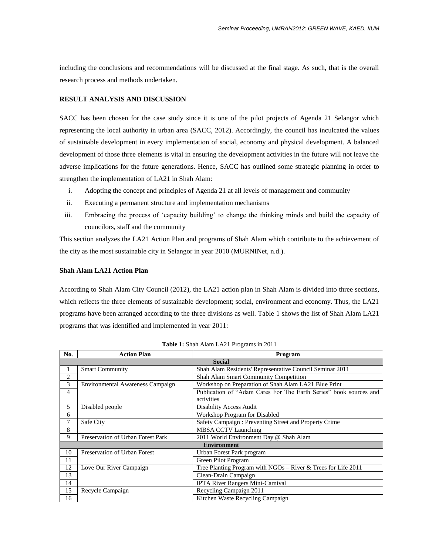including the conclusions and recommendations will be discussed at the final stage. As such, that is the overall research process and methods undertaken.

## **RESULT ANALYSIS AND DISCUSSION**

SACC has been chosen for the case study since it is one of the pilot projects of Agenda 21 Selangor which representing the local authority in urban area (SACC, 2012). Accordingly, the council has inculcated the values of sustainable development in every implementation of social, economy and physical development. A balanced development of those three elements is vital in ensuring the development activities in the future will not leave the adverse implications for the future generations. Hence, SACC has outlined some strategic planning in order to strengthen the implementation of LA21 in Shah Alam:

- i. Adopting the concept and principles of Agenda 21 at all levels of management and community
- ii. Executing a permanent structure and implementation mechanisms
- iii. Embracing the process of "capacity building" to change the thinking minds and build the capacity of councilors, staff and the community

This section analyzes the LA21 Action Plan and programs of Shah Alam which contribute to the achievement of the city as the most sustainable city in Selangor in year 2010 (MURNINet, n.d.).

## **Shah Alam LA21 Action Plan**

According to Shah Alam City Council (2012), the LA21 action plan in Shah Alam is divided into three sections, which reflects the three elements of sustainable development; social, environment and economy. Thus, the LA21 programs have been arranged according to the three divisions as well. Table 1 shows the list of Shah Alam LA21 programs that was identified and implemented in year 2011:

| No.            | <b>Action Plan</b>                      | Program                                                           |  |  |  |
|----------------|-----------------------------------------|-------------------------------------------------------------------|--|--|--|
|                | <b>Social</b>                           |                                                                   |  |  |  |
|                | <b>Smart Community</b>                  | Shah Alam Residents' Representative Council Seminar 2011          |  |  |  |
| $\overline{c}$ |                                         | Shah Alam Smart Community Competition                             |  |  |  |
| 3              | <b>Environmental Awareness Campaign</b> | Workshop on Preparation of Shah Alam LA21 Blue Print              |  |  |  |
| 4              |                                         | Publication of "Adam Cares For The Earth Series" book sources and |  |  |  |
|                |                                         | activities                                                        |  |  |  |
| 5              | Disabled people                         | <b>Disability Access Audit</b>                                    |  |  |  |
| 6              |                                         | Workshop Program for Disabled                                     |  |  |  |
| 7              | Safe City                               | Safety Campaign: Preventing Street and Property Crime             |  |  |  |
| 8              |                                         | <b>MBSA CCTV Launching</b>                                        |  |  |  |
| 9              | Preservation of Urban Forest Park       | 2011 World Environment Day @ Shah Alam                            |  |  |  |
|                |                                         | <b>Environment</b>                                                |  |  |  |
| 10             | Preservation of Urban Forest            | Urban Forest Park program                                         |  |  |  |
| 11             |                                         | Green Pilot Program                                               |  |  |  |
| 12             | Love Our River Campaign                 | Tree Planting Program with $NGOs - River &$ Trees for Life 2011   |  |  |  |
| 13             |                                         | Clean-Drain Campaign                                              |  |  |  |
| 14             |                                         | <b>IPTA River Rangers Mini-Carnival</b>                           |  |  |  |
| 15             | Recycle Campaign                        | Recycling Campaign 2011                                           |  |  |  |
| 16             |                                         | Kitchen Waste Recycling Campaign                                  |  |  |  |

**Table 1:** Shah Alam LA21 Programs in 2011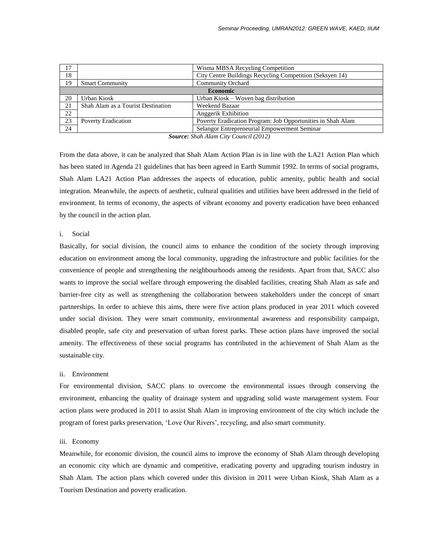| 17 |                                    | Wisma MBSA Recycling Competition                            |  |  |  |  |
|----|------------------------------------|-------------------------------------------------------------|--|--|--|--|
| 18 |                                    | City Centre Buildings Recycling Competition (Seksyen 14)    |  |  |  |  |
| 19 | <b>Smart Community</b>             | <b>Community Orchard</b>                                    |  |  |  |  |
|    | <b>Economic</b>                    |                                                             |  |  |  |  |
| 20 | Urban Kiosk                        | Urban Kiosk – Woven bag distribution                        |  |  |  |  |
| 21 | Shah Alam as a Tourist Destination | Weekend Bazaar                                              |  |  |  |  |
| 22 |                                    | Anggerik Exhibition                                         |  |  |  |  |
| 23 | <b>Poverty Eradication</b>         | Poverty Eradication Program: Job Opportunities in Shah Alam |  |  |  |  |
| 24 |                                    | Selangor Entrepreneurial Empowerment Seminar                |  |  |  |  |

*Source: Shah Alam City Council (2012)*

From the data above, it can be analyzed that Shah Alam Action Plan is in line with the LA21 Action Plan which has been stated in Agenda 21 guidelines that has been agreed in Earth Summit 1992. In terms of social programs, Shah Alam LA21 Action Plan addresses the aspects of education, public amenity, public health and social integration. Meanwhile, the aspects of aesthetic, cultural qualities and utilities have been addressed in the field of environment. In terms of economy, the aspects of vibrant economy and poverty eradication have been enhanced by the council in the action plan.

## i. Social

Basically, for social division, the council aims to enhance the condition of the society through improving education on environment among the local community, upgrading the infrastructure and public facilities for the convenience of people and strengthening the neighbourhoods among the residents. Apart from that, SACC also wants to improve the social welfare through empowering the disabled facilities, creating Shah Alam as safe and barrier-free city as well as strengthening the collaboration between stakeholders under the concept of smart partnerships. In order to achieve this aims, there were five action plans produced in year 2011 which covered under social division. They were smart community, environmental awareness and responsibility campaign, disabled people, safe city and preservation of urban forest parks. These action plans have improved the social amenity. The effectiveness of these social programs has contributed in the achievement of Shah Alam as the sustainable city.

## ii. Environment

For environmental division, SACC plans to overcome the environmental issues through conserving the environment, enhancing the quality of drainage system and upgrading solid waste management system. Four action plans were produced in 2011 to assist Shah Alam in improving environment of the city which include the program of forest parks preservation, "Love Our Rivers", recycling, and also smart community.

#### iii. Economy

Meanwhile, for economic division, the council aims to improve the economy of Shah Alam through developing an economic city which are dynamic and competitive, eradicating poverty and upgrading tourism industry in Shah Alam. The action plans which covered under this division in 2011 were Urban Kiosk, Shah Alam as a Tourism Destination and poverty eradication.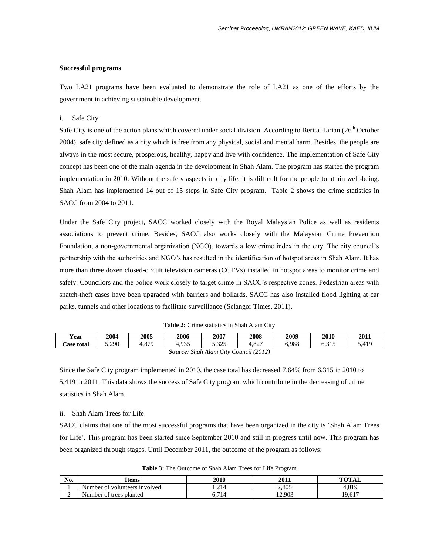## **Successful programs**

Two LA21 programs have been evaluated to demonstrate the role of LA21 as one of the efforts by the government in achieving sustainable development.

### i. Safe City

Safe City is one of the action plans which covered under social division. According to Berita Harian (26<sup>th</sup> October 2004), safe city defined as a city which is free from any physical, social and mental harm. Besides, the people are always in the most secure, prosperous, healthy, happy and live with confidence. The implementation of Safe City concept has been one of the main agenda in the development in Shah Alam. The program has started the program implementation in 2010. Without the safety aspects in city life, it is difficult for the people to attain well-being. Shah Alam has implemented 14 out of 15 steps in Safe City program. Table 2 shows the crime statistics in SACC from 2004 to 2011.

Under the Safe City project, SACC worked closely with the Royal Malaysian Police as well as residents associations to prevent crime. Besides, SACC also works closely with the Malaysian Crime Prevention Foundation, a non-governmental organization (NGO), towards a low crime index in the city. The city council"s partnership with the authorities and NGO"s has resulted in the identification of hotspot areas in Shah Alam. It has more than three dozen closed-circuit television cameras (CCTVs) installed in hotspot areas to monitor crime and safety. Councilors and the police work closely to target crime in SACC"s respective zones. Pedestrian areas with snatch-theft cases have been upgraded with barriers and bollards. SACC has also installed flood lighting at car parks, tunnels and other locations to facilitate surveillance (Selangor Times, 2011).

| <b>Table 2:</b> Crime statistics in Shah Alam City |  |  |  |  |  |  |
|----------------------------------------------------|--|--|--|--|--|--|
|----------------------------------------------------|--|--|--|--|--|--|

| Year                                     | 2004  | 2005  | 2006  | 2007  | 2008          | 2009  | 2010                       | 2011  |
|------------------------------------------|-------|-------|-------|-------|---------------|-------|----------------------------|-------|
| <b>Case total</b>                        | 5.290 | 4.879 | +.935 | 5,325 | 0.27<br>4.02. | 6.988 | $\sim$ 0.1 $\sim$<br>0.212 | 5.419 |
| Shah Alam City Council (2012)<br>Source: |       |       |       |       |               |       |                            |       |

Since the Safe City program implemented in 2010, the case total has decreased 7.64% from 6,315 in 2010 to 5,419 in 2011. This data shows the success of Safe City program which contribute in the decreasing of crime statistics in Shah Alam.

#### ii. Shah Alam Trees for Life

SACC claims that one of the most successful programs that have been organized in the city is "Shah Alam Trees for Life'. This program has been started since September 2010 and still in progress until now. This program has been organized through stages. Until December 2011, the outcome of the program as follows:

|  |  | <b>Table 3:</b> The Outcome of Shah Alam Trees for Life Program |
|--|--|-----------------------------------------------------------------|
|--|--|-----------------------------------------------------------------|

| No. | Items                         | 2010      | 2011   | <b>TOTAL</b> |
|-----|-------------------------------|-----------|--------|--------------|
|     | Number of volunteers involved | 1.214     | 2,805  | +.019        |
| ∸   | Number of trees planted       | 714<br>υ. | 12,903 | 19,617       |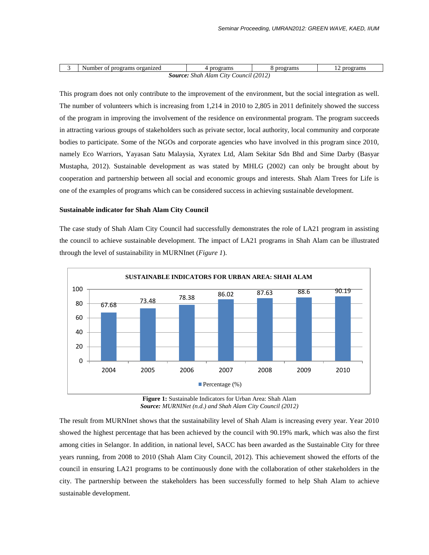|                                                                 | Number<br>rograms<br>∿ organized<br>nroo" | Dr<br>rams | program<br>еганиз | ograms<br>. . |  |  |
|-----------------------------------------------------------------|-------------------------------------------|------------|-------------------|---------------|--|--|
| (2012<br>Source:<br>$\mathcal{L}$ tty<br>- Shah Alam<br>Council |                                           |            |                   |               |  |  |

This program does not only contribute to the improvement of the environment, but the social integration as well. The number of volunteers which is increasing from 1,214 in 2010 to 2,805 in 2011 definitely showed the success of the program in improving the involvement of the residence on environmental program. The program succeeds in attracting various groups of stakeholders such as private sector, local authority, local community and corporate bodies to participate. Some of the NGOs and corporate agencies who have involved in this program since 2010, namely Eco Warriors, Yayasan Satu Malaysia, Xyratex Ltd, Alam Sekitar Sdn Bhd and Sime Darby (Basyar Mustapha, 2012). Sustainable development as was stated by MHLG (2002) can only be brought about by cooperation and partnership between all social and economic groups and interests. Shah Alam Trees for Life is one of the examples of programs which can be considered success in achieving sustainable development.

#### **Sustainable indicator for Shah Alam City Council**

The case study of Shah Alam City Council had successfully demonstrates the role of LA21 program in assisting the council to achieve sustainable development. The impact of LA21 programs in Shah Alam can be illustrated through the level of sustainability in MURNInet (*Figure 1*).



**Figure 1:** Sustainable Indicators for Urban Area: Shah Alam *Source: MURNINet (n.d.) and Shah Alam City Council (2012)*

The result from MURNInet shows that the sustainability level of Shah Alam is increasing every year. Year 2010 showed the highest percentage that has been achieved by the council with 90.19% mark, which was also the first among cities in Selangor. In addition, in national level, SACC has been awarded as the Sustainable City for three years running, from 2008 to 2010 (Shah Alam City Council, 2012). This achievement showed the efforts of the council in ensuring LA21 programs to be continuously done with the collaboration of other stakeholders in the city. The partnership between the stakeholders has been successfully formed to help Shah Alam to achieve sustainable development.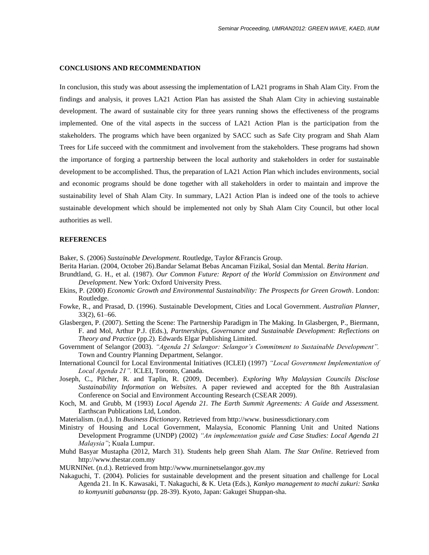#### **CONCLUSIONS AND RECOMMENDATION**

In conclusion, this study was about assessing the implementation of LA21 programs in Shah Alam City. From the findings and analysis, it proves LA21 Action Plan has assisted the Shah Alam City in achieving sustainable development. The award of sustainable city for three years running shows the effectiveness of the programs implemented. One of the vital aspects in the success of LA21 Action Plan is the participation from the stakeholders. The programs which have been organized by SACC such as Safe City program and Shah Alam Trees for Life succeed with the commitment and involvement from the stakeholders. These programs had shown the importance of forging a partnership between the local authority and stakeholders in order for sustainable development to be accomplished. Thus, the preparation of LA21 Action Plan which includes environments, social and economic programs should be done together with all stakeholders in order to maintain and improve the sustainability level of Shah Alam City. In summary, LA21 Action Plan is indeed one of the tools to achieve sustainable development which should be implemented not only by Shah Alam City Council, but other local authorities as well.

# **REFERENCES**

Baker, S. (2006) *Sustainable Development*. Routledge, Taylor &Francis Group.

- Berita Harian. (2004, October 26).Bandar Selamat Bebas Ancaman Fizikal, Sosial dan Mental. *Berita Harian*.
- Brundtland, G. H., et al. (1987). *Our Common Future: Report of the World Commission on Environment and Development*. New York: Oxford University Press.
- Ekins, P. (2000) *Economic Growth and Environmental Sustainability: The Prospects for Green Growth*. London: Routledge.
- Fowke, R., and Prasad, D. (1996). Sustainable Development, Cities and Local Government. *Australian Planner*, 33(2), 61–66.
- Glasbergen, P. (2007). Setting the Scene: The Partnership Paradigm in The Making. In Glasbergen, P., Biermann, F. and Mol, Arthur P.J. (Eds.), *Partnerships, Governance and Sustainable Development: Reflections on Theory and Practice* (pp.2)*.* Edwards Elgar Publishing Limited.
- Government of Selangor (2003). *"Agenda 21 Selangor: Selangor's Commitment to Sustainable Development".* Town and Country Planning Department, Selangor.
- International Council for Local Environmental Initiatives (ICLEI) (1997) *"Local Government Implementation of Local Agenda 21".* ICLEI, Toronto, Canada.
- Joseph, C., Pilcher, R. and Taplin, R. (2009, December). *Exploring Why Malaysian Councils Disclose Sustainability Information on Websites.* A paper reviewed and accepted for the 8th Australasian Conference on Social and Environment Accounting Research (CSEAR 2009).
- Koch, M. and Grubb, M (1993) *Local Agenda 21. The Earth Summit Agreements: A Guide and Assessment.* Earthscan Publications Ltd, London.
- Materialism. (n.d.). In *Business Dictionary*. Retrieved from http://www. businessdictionary.com
- Ministry of Housing and Local Government, Malaysia, Economic Planning Unit and United Nations Development Programme (UNDP) (2002) *"An implementation guide and Case Studies: Local Agenda 21 Malaysia"*; Kuala Lumpur.
- Muhd Basyar Mustapha (2012, March 31). Students help green Shah Alam. *The Star Online*. Retrieved from http://www.thestar.com.my
- MURNINet. (n.d.). Retrieved from http://www.murninetselangor.gov.my
- Nakaguchi, T. (2004). Policies for sustainable development and the present situation and challenge for Local Agenda 21. In K. Kawasaki, T. Nakaguchi, & K. Ueta (Eds.), *Kankyo management to machi zukuri: Sanka to komyuniti gabanansu* (pp. 28-39). Kyoto, Japan: Gakugei Shuppan-sha.